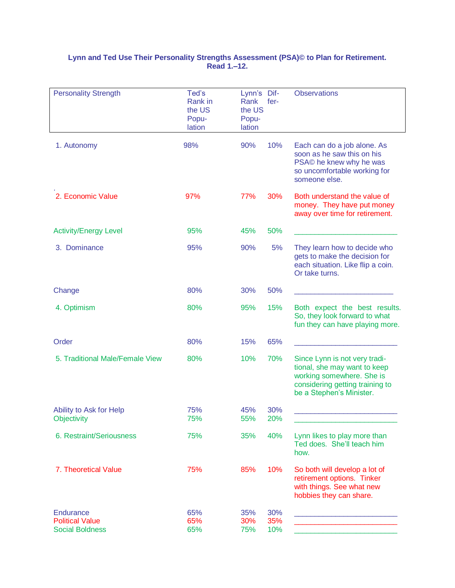## **Lynn and Ted Use Their Personality Strengths Assessment (PSA)© to Plan for Retirement. Read 1.–12.**

| <b>Personality Strength</b>                                   | Ted's<br>Rank in<br>the US<br>Popu-<br>lation | Lynn's Dif-<br>Rank<br>the US<br>Popu-<br>lation | fer-              | <b>Observations</b>                                                                                                                                       |
|---------------------------------------------------------------|-----------------------------------------------|--------------------------------------------------|-------------------|-----------------------------------------------------------------------------------------------------------------------------------------------------------|
| 1. Autonomy                                                   | 98%                                           | 90%                                              | 10%               | Each can do a job alone. As<br>soon as he saw this on his<br>PSA© he knew why he was<br>so uncomfortable working for<br>someone else.                     |
| 2. Economic Value                                             | 97%                                           | 77%                                              | 30%               | Both understand the value of<br>money. They have put money<br>away over time for retirement.                                                              |
| <b>Activity/Energy Level</b>                                  | 95%                                           | 45%                                              | 50%               |                                                                                                                                                           |
| 3. Dominance                                                  | 95%                                           | 90%                                              | 5%                | They learn how to decide who<br>gets to make the decision for<br>each situation. Like flip a coin.<br>Or take turns.                                      |
| Change                                                        | 80%                                           | 30%                                              | 50%               |                                                                                                                                                           |
| 4. Optimism                                                   | 80%                                           | 95%                                              | 15%               | Both expect the best results.<br>So, they look forward to what<br>fun they can have playing more.                                                         |
| Order                                                         | 80%                                           | 15%                                              | 65%               |                                                                                                                                                           |
| 5. Traditional Male/Female View                               | 80%                                           | 10%                                              | 70%               | Since Lynn is not very tradi-<br>tional, she may want to keep<br>working somewhere. She is<br>considering getting training to<br>be a Stephen's Minister. |
| Ability to Ask for Help<br>Objectivity                        | 75%<br>75%                                    | 45%<br>55%                                       | 30%<br>20%        |                                                                                                                                                           |
| 6. Restraint/Seriousness                                      | 75%                                           | 35%                                              | 40%               | Lynn likes to play more than<br>Ted does. She'll teach him<br>how.                                                                                        |
| 7. Theoretical Value                                          | 75%                                           | 85%                                              | 10%               | So both will develop a lot of<br>retirement options. Tinker<br>with things. See what new<br>hobbies they can share.                                       |
| Endurance<br><b>Political Value</b><br><b>Social Boldness</b> | 65%<br>65%<br>65%                             | 35%<br>30%<br>75%                                | 30%<br>35%<br>10% |                                                                                                                                                           |